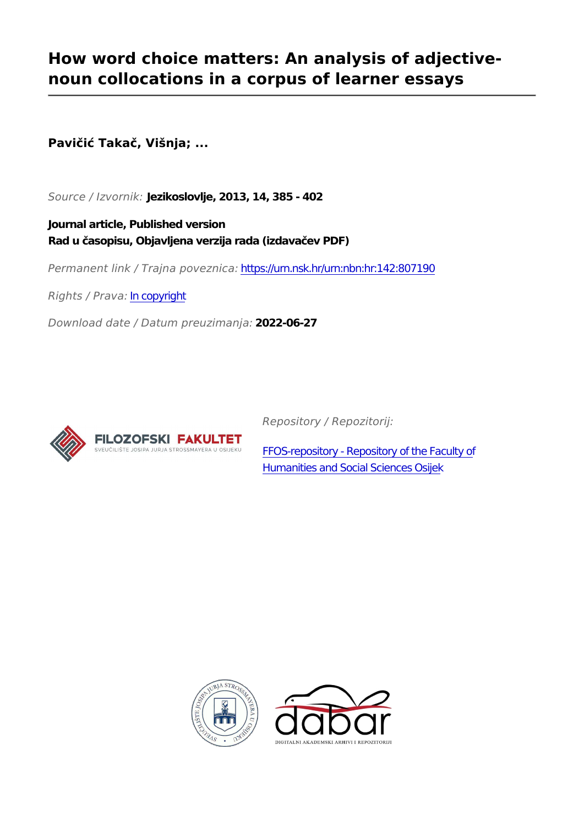# **How word choice matters: An analysis of adjectivenoun collocations in a corpus of learner essays**

**Pavičić Takač, Višnja; ...**

*Source / Izvornik:* **Jezikoslovlje, 2013, 14, 385 - 402**

**Journal article, Published version Rad u časopisu, Objavljena verzija rada (izdavačev PDF)**

*Permanent link / Trajna poveznica:* <https://urn.nsk.hr/urn:nbn:hr:142:807190>

*Rights / Prava:* [In copyright](http://rightsstatements.org/vocab/InC/1.0/)

*Download date / Datum preuzimanja:* **2022-06-27**



*Repository / Repozitorij:*

[FFOS-repository - Repository of the Faculty of](https://repozitorij.ffos.hr) [Humanities and Social Sciences Osijek](https://repozitorij.ffos.hr)



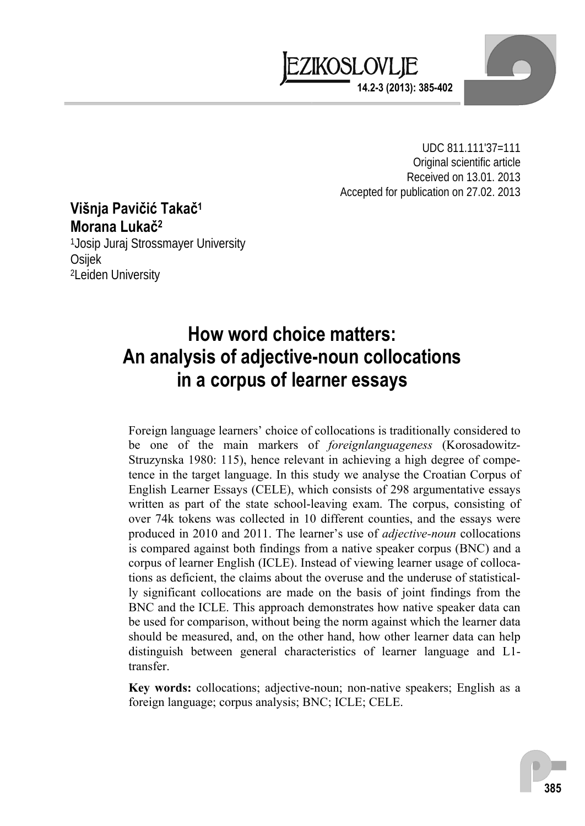

UDC 811.111'37=111 Original scientific article Received on 13.01. 2013 Accepted for publication on 27.02. 2013

## **Višnja Pavičić Takač<sup>1</sup> Morana Lukač<sup>2</sup>**

1Josip Juraj Strossmayer University Osijek 2Leiden University

# **How word choice matters: An analysis of adjective-noun collocations in a corpus of learner essays**

Foreign language learners' choice of collocations is traditionally considered to be one of the main markers of *foreignlanguageness* (Korosadowitz-Struzynska 1980: 115), hence relevant in achieving a high degree of competence in the target language. In this study we analyse the Croatian Corpus of English Learner Essays (CELE), which consists of 298 argumentative essays written as part of the state school-leaving exam. The corpus, consisting of over 74k tokens was collected in 10 different counties, and the essays were produced in 2010 and 2011. The learner's use of *adjective-noun* collocations is compared against both findings from a native speaker corpus (BNC) and a corpus of learner English (ICLE). Instead of viewing learner usage of collocations as deficient, the claims about the overuse and the underuse of statistically significant collocations are made on the basis of joint findings from the BNC and the ICLE. This approach demonstrates how native speaker data can be used for comparison, without being the norm against which the learner data should be measured, and, on the other hand, how other learner data can help distinguish between general characteristics of learner language and L1 transfer.

**Key words:** collocations; adjective-noun; non-native speakers; English as a foreign language; corpus analysis; BNC; ICLE; CELE.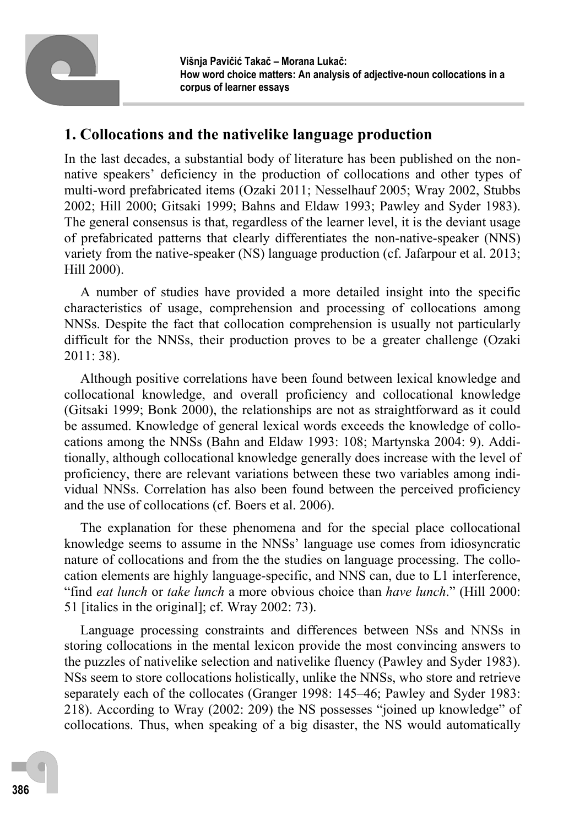

## **1. Collocations and the nativelike language production**

In the last decades, a substantial body of literature has been published on the nonnative speakers' deficiency in the production of collocations and other types of multi-word prefabricated items (Ozaki 2011; Nesselhauf 2005; Wray 2002, Stubbs 2002; Hill 2000; Gitsaki 1999; Bahns and Eldaw 1993; Pawley and Syder 1983). The general consensus is that, regardless of the learner level, it is the deviant usage of prefabricated patterns that clearly differentiates the non-native-speaker (NNS) variety from the native-speaker (NS) language production (cf. Jafarpour et al. 2013; Hill 2000).

A number of studies have provided a more detailed insight into the specific characteristics of usage, comprehension and processing of collocations among NNSs. Despite the fact that collocation comprehension is usually not particularly difficult for the NNSs, their production proves to be a greater challenge (Ozaki 2011: 38).

Although positive correlations have been found between lexical knowledge and collocational knowledge, and overall proficiency and collocational knowledge (Gitsaki 1999; Bonk 2000), the relationships are not as straightforward as it could be assumed. Knowledge of general lexical words exceeds the knowledge of collocations among the NNSs (Bahn and Eldaw 1993: 108; Martynska 2004: 9). Additionally, although collocational knowledge generally does increase with the level of proficiency, there are relevant variations between these two variables among individual NNSs. Correlation has also been found between the perceived proficiency and the use of collocations (cf. Boers et al. 2006).

The explanation for these phenomena and for the special place collocational knowledge seems to assume in the NNSs' language use comes from idiosyncratic nature of collocations and from the the studies on language processing. The collocation elements are highly language-specific, and NNS can, due to L1 interference, "find *eat lunch* or *take lunch* a more obvious choice than *have lunch*." (Hill 2000: 51 [italics in the original]; cf. Wray 2002: 73).

Language processing constraints and differences between NSs and NNSs in storing collocations in the mental lexicon provide the most convincing answers to the puzzles of nativelike selection and nativelike fluency (Pawley and Syder 1983). NSs seem to store collocations holistically, unlike the NNSs, who store and retrieve separately each of the collocates (Granger 1998: 145–46; Pawley and Syder 1983: 218). According to Wray (2002: 209) the NS possesses "joined up knowledge" of collocations. Thus, when speaking of a big disaster, the NS would automatically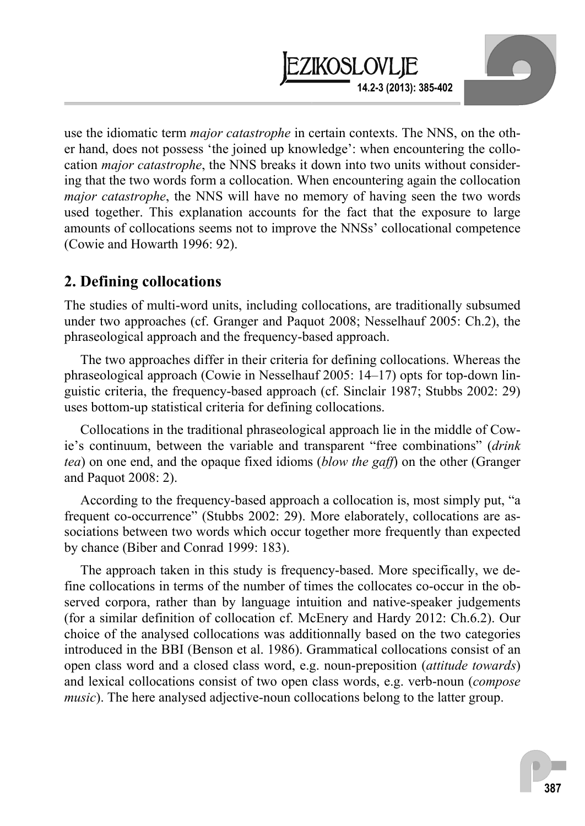use the idiomatic term *major catastrophe* in certain contexts. The NNS, on the other hand, does not possess 'the joined up knowledge': when encountering the collocation *major catastrophe*, the NNS breaks it down into two units without considering that the two words form a collocation. When encountering again the collocation *major catastrophe*, the NNS will have no memory of having seen the two words used together. This explanation accounts for the fact that the exposure to large amounts of collocations seems not to improve the NNSs' collocational competence (Cowie and Howarth 1996: 92).

**14.2-3 (2013): 385-402** 

EZIKOSLOVLIE

### **2. Defining collocations**

The studies of multi-word units, including collocations, are traditionally subsumed under two approaches (cf. Granger and Paquot 2008; Nesselhauf 2005: Ch.2), the phraseological approach and the frequency-based approach.

The two approaches differ in their criteria for defining collocations. Whereas the phraseological approach (Cowie in Nesselhauf 2005: 14–17) opts for top-down linguistic criteria, the frequency-based approach (cf. Sinclair 1987; Stubbs 2002: 29) uses bottom-up statistical criteria for defining collocations.

Collocations in the traditional phraseological approach lie in the middle of Cowie's continuum, between the variable and transparent "free combinations" (*drink tea*) on one end, and the opaque fixed idioms (*blow the gaff*) on the other (Granger and Paquot 2008: 2).

According to the frequency-based approach a collocation is, most simply put, "a frequent co-occurrence" (Stubbs 2002: 29). More elaborately, collocations are associations between two words which occur together more frequently than expected by chance (Biber and Conrad 1999: 183).

The approach taken in this study is frequency-based. More specifically, we define collocations in terms of the number of times the collocates co-occur in the observed corpora, rather than by language intuition and native-speaker judgements (for a similar definition of collocation cf. McEnery and Hardy 2012: Ch.6.2). Our choice of the analysed collocations was additionnally based on the two categories introduced in the BBI (Benson et al. 1986). Grammatical collocations consist of an open class word and a closed class word, e.g. noun-preposition (*attitude towards*) and lexical collocations consist of two open class words, e.g. verb-noun (*compose music*). The here analysed adjective-noun collocations belong to the latter group.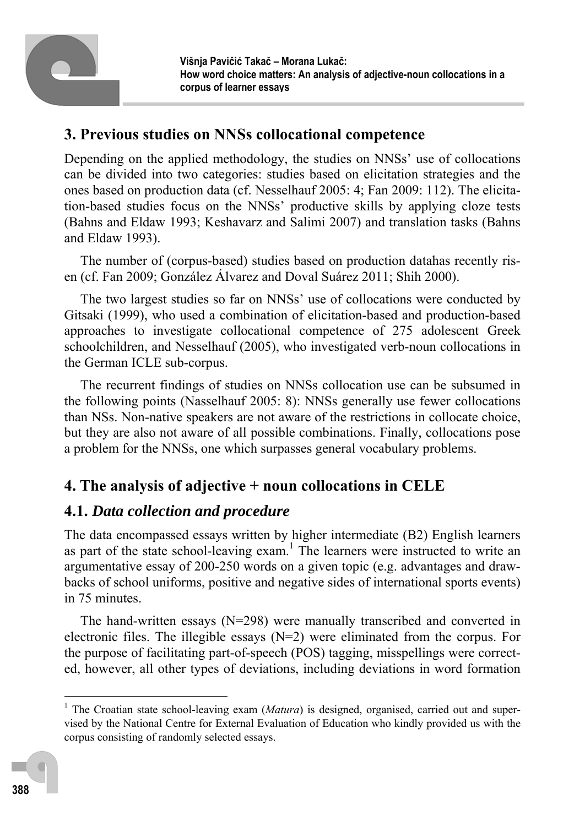

## **3. Previous studies on NNSs collocational competence**

Depending on the applied methodology, the studies on NNSs' use of collocations can be divided into two categories: studies based on elicitation strategies and the ones based on production data (cf. Nesselhauf 2005: 4; Fan 2009: 112). The elicitation-based studies focus on the NNSs' productive skills by applying cloze tests (Bahns and Eldaw 1993; Keshavarz and Salimi 2007) and translation tasks (Bahns and Eldaw 1993).

The number of (corpus-based) studies based on production datahas recently risen (cf. Fan 2009; González Álvarez and Doval Suárez 2011; Shih 2000).

The two largest studies so far on NNSs' use of collocations were conducted by Gitsaki (1999), who used a combination of elicitation-based and production-based approaches to investigate collocational competence of 275 adolescent Greek schoolchildren, and Nesselhauf (2005), who investigated verb-noun collocations in the German ICLE sub-corpus.

The recurrent findings of studies on NNSs collocation use can be subsumed in the following points (Nasselhauf 2005: 8): NNSs generally use fewer collocations than NSs. Non-native speakers are not aware of the restrictions in collocate choice, but they are also not aware of all possible combinations. Finally, collocations pose a problem for the NNSs, one which surpasses general vocabulary problems.

# **4. The analysis of adjective + noun collocations in CELE**

# **4.1.** *Data collection and procedure*

The data encompassed essays written by higher intermediate (B2) English learners as part of the state school-leaving exam.<sup>1</sup> The learners were instructed to write an argumentative essay of 200-250 words on a given topic (e.g. advantages and drawbacks of school uniforms, positive and negative sides of international sports events) in 75 minutes.

The hand-written essays (N=298) were manually transcribed and converted in electronic files. The illegible essays  $(N=2)$  were eliminated from the corpus. For the purpose of facilitating part-of-speech (POS) tagging, misspellings were corrected, however, all other types of deviations, including deviations in word formation

 $\overline{a}$ 

<sup>&</sup>lt;sup>1</sup> The Croatian state school-leaving exam (*Matura*) is designed, organised, carried out and supervised by the National Centre for External Evaluation of Education who kindly provided us with the corpus consisting of randomly selected essays.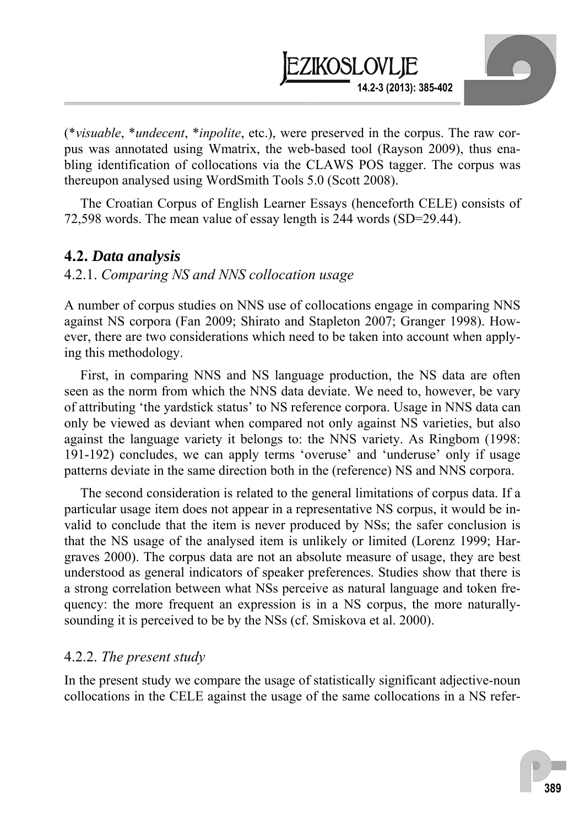

(\**visuable*, \**undecent*, \**inpolite*, etc.), were preserved in the corpus. The raw corpus was annotated using Wmatrix, the web-based tool (Rayson 2009), thus enabling identification of collocations via the CLAWS POS tagger. The corpus was thereupon analysed using WordSmith Tools 5.0 (Scott 2008).

The Croatian Corpus of English Learner Essays (henceforth CELE) consists of 72,598 words. The mean value of essay length is 244 words (SD=29.44).

### **4.2.** *Data analysis*

### 4.2.1. *Comparing NS and NNS collocation usage*

A number of corpus studies on NNS use of collocations engage in comparing NNS against NS corpora (Fan 2009; Shirato and Stapleton 2007; Granger 1998). However, there are two considerations which need to be taken into account when applying this methodology.

First, in comparing NNS and NS language production, the NS data are often seen as the norm from which the NNS data deviate. We need to, however, be vary of attributing 'the yardstick status' to NS reference corpora. Usage in NNS data can only be viewed as deviant when compared not only against NS varieties, but also against the language variety it belongs to: the NNS variety. As Ringbom (1998: 191-192) concludes, we can apply terms 'overuse' and 'underuse' only if usage patterns deviate in the same direction both in the (reference) NS and NNS corpora.

The second consideration is related to the general limitations of corpus data. If a particular usage item does not appear in a representative NS corpus, it would be invalid to conclude that the item is never produced by NSs; the safer conclusion is that the NS usage of the analysed item is unlikely or limited (Lorenz 1999; Hargraves 2000). The corpus data are not an absolute measure of usage, they are best understood as general indicators of speaker preferences. Studies show that there is a strong correlation between what NSs perceive as natural language and token frequency: the more frequent an expression is in a NS corpus, the more naturallysounding it is perceived to be by the NSs (cf. Smiskova et al. 2000).

### 4.2.2. *The present study*

In the present study we compare the usage of statistically significant adjective-noun collocations in the CELE against the usage of the same collocations in a NS refer-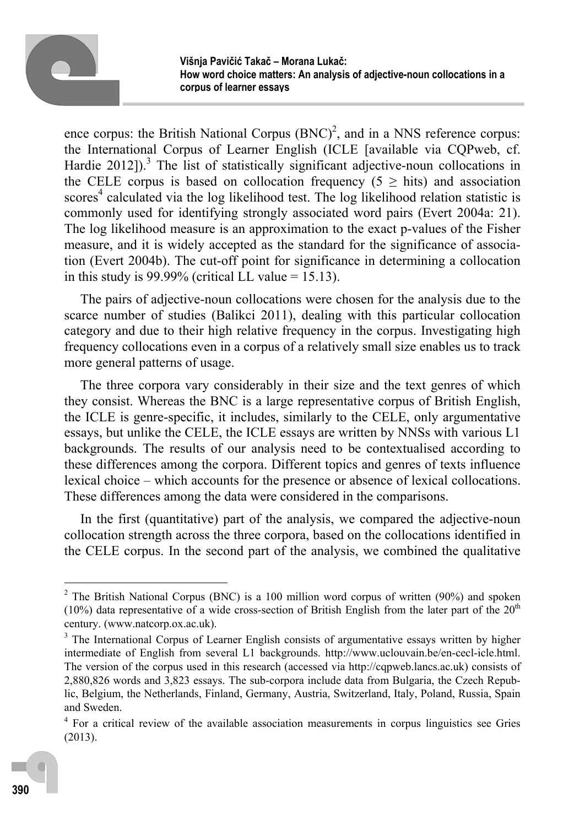

ence corpus: the British National Corpus  $(BNC)^2$ , and in a NNS reference corpus: the International Corpus of Learner English (ICLE [available via CQPweb, cf. Hardie 2012]).<sup>3</sup> The list of statistically significant adjective-noun collocations in the CELE corpus is based on collocation frequency ( $5 \ge$  hits) and association scores<sup>4</sup> calculated via the log likelihood test. The log likelihood relation statistic is commonly used for identifying strongly associated word pairs (Evert 2004a: 21). The log likelihood measure is an approximation to the exact p-values of the Fisher measure, and it is widely accepted as the standard for the significance of association (Evert 2004b). The cut-off point for significance in determining a collocation in this study is 99.99% (critical LL value =  $15.13$ ).

The pairs of adjective-noun collocations were chosen for the analysis due to the scarce number of studies (Balikci 2011), dealing with this particular collocation category and due to their high relative frequency in the corpus. Investigating high frequency collocations even in a corpus of a relatively small size enables us to track more general patterns of usage.

The three corpora vary considerably in their size and the text genres of which they consist. Whereas the BNC is a large representative corpus of British English, the ICLE is genre-specific, it includes, similarly to the CELE, only argumentative essays, but unlike the CELE, the ICLE essays are written by NNSs with various L1 backgrounds. The results of our analysis need to be contextualised according to these differences among the corpora. Different topics and genres of texts influence lexical choice – which accounts for the presence or absence of lexical collocations. These differences among the data were considered in the comparisons.

In the first (quantitative) part of the analysis, we compared the adjective-noun collocation strength across the three corpora, based on the collocations identified in the CELE corpus. In the second part of the analysis, we combined the qualitative

 $\overline{a}$ 

<sup>&</sup>lt;sup>2</sup> The British National Corpus (BNC) is a 100 million word corpus of written (90%) and spoken (10%) data representative of a wide cross-section of British English from the later part of the  $20<sup>th</sup>$ century. (www.natcorp.ox.ac.uk). 3

 $3$  The International Corpus of Learner English consists of argumentative essays written by higher intermediate of English from several L1 backgrounds. http://www.uclouvain.be/en-cecl-icle.html. The version of the corpus used in this research (accessed via http://cqpweb.lancs.ac.uk) consists of 2,880,826 words and 3,823 essays. The sub-corpora include data from Bulgaria, the Czech Republic, Belgium, the Netherlands, Finland, Germany, Austria, Switzerland, Italy, Poland, Russia, Spain and Sweden.

<sup>&</sup>lt;sup>4</sup> For a critical review of the available association measurements in corpus linguistics see Gries (2013).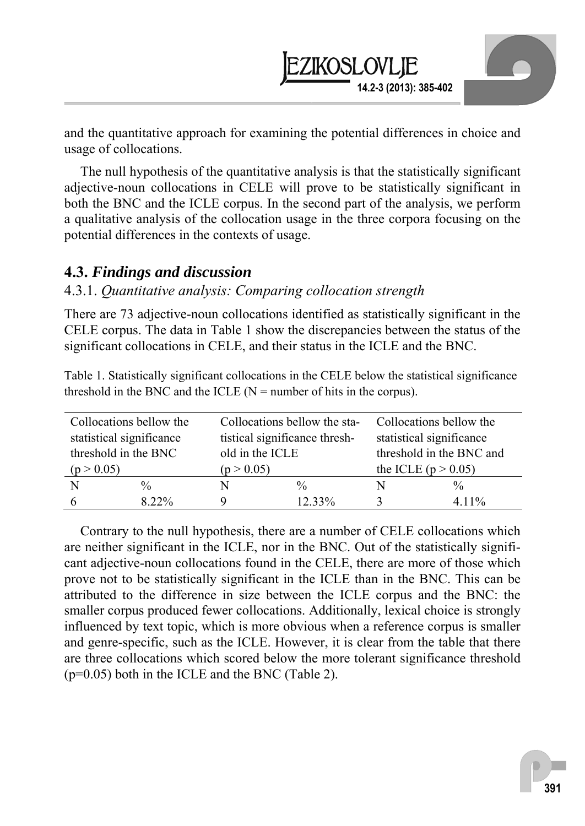and the quantitative approach for examining the potential differences in choice and usage of collocations.

**14.2-3 (2013): 385-402** 

ZIKOSLOVLIE

The null hypothesis of the quantitative analysis is that the statistically significant adjective-noun collocations in CELE will prove to be statistically significant in both the BNC and the ICLE corpus. In the second part of the analysis, we perform a qualitative analysis of the collocation usage in the three corpora focusing on the potential differences in the contexts of usage.

#### **4.3.** *Findings and discussion*

#### 4.3.1. *Quantitative analysis: Comparing collocation strength*

There are 73 adjective-noun collocations identified as statistically significant in the CELE corpus. The data in Table 1 show the discrepancies between the status of the significant collocations in CELE, and their status in the ICLE and the BNC.

Table 1. Statistically significant collocations in the CELE below the statistical significance threshold in the BNC and the ICLE ( $N =$  number of hits in the corpus).

| Collocations bellow the  |               |                               | Collocations bellow the sta- | Collocations bellow the  |               |  |
|--------------------------|---------------|-------------------------------|------------------------------|--------------------------|---------------|--|
| statistical significance |               | tistical significance thresh- |                              | statistical significance |               |  |
| threshold in the BNC     |               | old in the ICLE               |                              | threshold in the BNC and |               |  |
| (p > 0.05)               |               | (p > 0.05)                    |                              | the ICLE ( $p > 0.05$ )  |               |  |
| N                        | $\frac{0}{0}$ | N                             | $\frac{0}{0}$                |                          | $\frac{0}{0}$ |  |
|                          |               |                               |                              |                          |               |  |

Contrary to the null hypothesis, there are a number of CELE collocations which are neither significant in the ICLE, nor in the BNC. Out of the statistically significant adjective-noun collocations found in the CELE, there are more of those which prove not to be statistically significant in the ICLE than in the BNC. This can be attributed to the difference in size between the ICLE corpus and the BNC: the smaller corpus produced fewer collocations. Additionally, lexical choice is strongly influenced by text topic, which is more obvious when a reference corpus is smaller and genre-specific, such as the ICLE. However, it is clear from the table that there are three collocations which scored below the more tolerant significance threshold  $(p=0.05)$  both in the ICLE and the BNC (Table 2).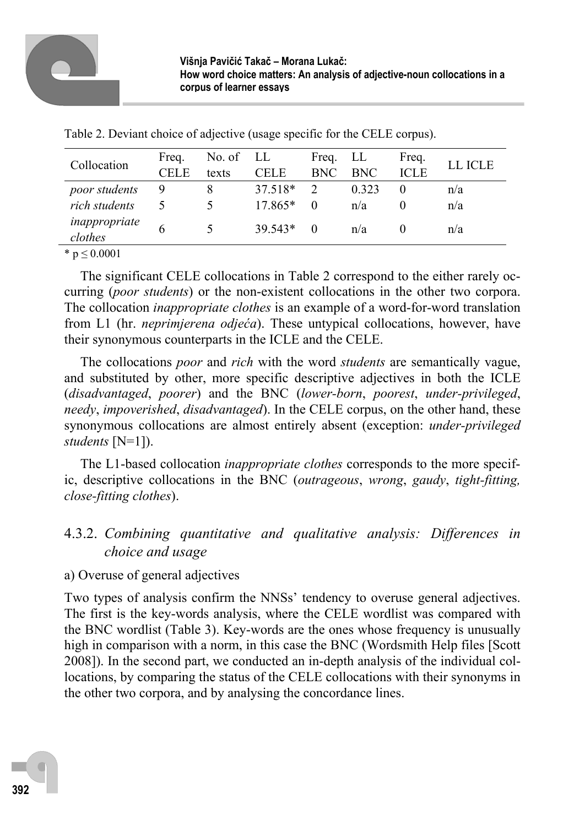|                                     | <b>CELE</b> | texts | <b>CELE</b>          | Freq. LL<br><b>BNC</b> | <b>BNC</b>     | Freq.<br><b>ICLE</b> | LL ICLE    |
|-------------------------------------|-------------|-------|----------------------|------------------------|----------------|----------------------|------------|
| poor students<br>9<br>rich students |             |       | 37.518*<br>$17.865*$ | $\mathcal{D}$<br>0     | 0 3 2 3<br>n/a |                      | n/a<br>n/a |
| inappropriate<br>clothes            |             |       | $39.543*$            | $\theta$               | n/a            |                      | n/a        |

Table 2. Deviant choice of adjective (usage specific for the CELE corpus).

\*  $p \le 0.0001$ 

The significant CELE collocations in Table 2 correspond to the either rarely occurring (*poor students*) or the non-existent collocations in the other two corpora. The collocation *inappropriate clothes* is an example of a word-for-word translation from L1 (hr. *neprimjerena odjeća*). These untypical collocations, however, have their synonymous counterparts in the ICLE and the CELE.

The collocations *poor* and *rich* with the word *students* are semantically vague, and substituted by other, more specific descriptive adjectives in both the ICLE (*disadvantaged*, *poorer*) and the BNC (*lower-born*, *poorest*, *under-privileged*, *needy*, *impoverished*, *disadvantaged*). In the CELE corpus, on the other hand, these synonymous collocations are almost entirely absent (exception: *under-privileged students* [N=1]).

The L1-based collocation *inappropriate clothes* corresponds to the more specific, descriptive collocations in the BNC (*outrageous*, *wrong*, *gaudy*, *tight-fitting, close-fitting clothes*).

## 4.3.2. *Combining quantitative and qualitative analysis: Differences in choice and usage*

### a) Overuse of general adjectives

Two types of analysis confirm the NNSs' tendency to overuse general adjectives. The first is the key-words analysis, where the CELE wordlist was compared with the BNC wordlist (Table 3). Key-words are the ones whose frequency is unusually high in comparison with a norm, in this case the BNC (Wordsmith Help files [Scott 2008]). In the second part, we conducted an in-depth analysis of the individual collocations, by comparing the status of the CELE collocations with their synonyms in the other two corpora, and by analysing the concordance lines.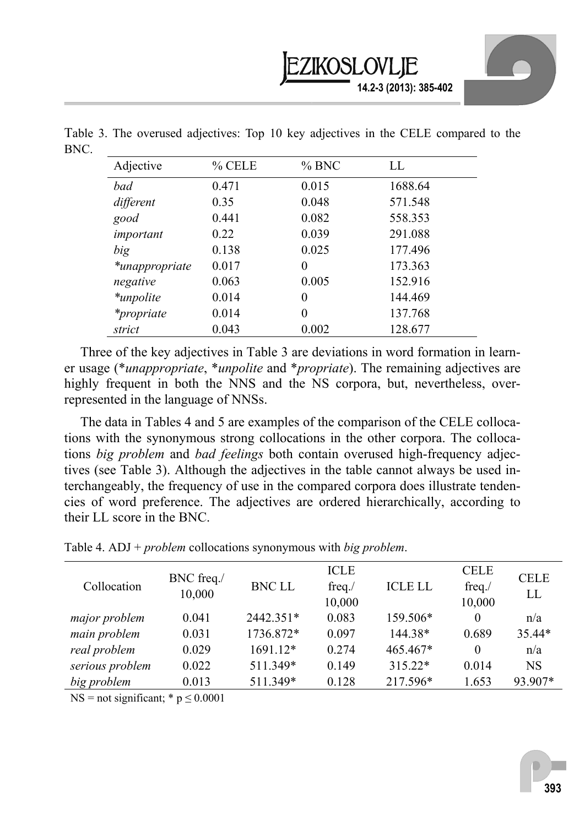

| Adjective         | % CELE | % BNC    | LL.     |
|-------------------|--------|----------|---------|
| bad               | 0.471  | 0.015    | 1688.64 |
| different         | 0.35   | 0.048    | 571.548 |
| good              | 0.441  | 0.082    | 558.353 |
| important         | 0.22   | 0.039    | 291.088 |
| big               | 0.138  | 0.025    | 177.496 |
| *unappropriate    | 0.017  | $\theta$ | 173.363 |
| negative          | 0.063  | 0.005    | 152.916 |
| *unpolite         | 0.014  | 0        | 144.469 |
| <i>*propriate</i> | 0.014  | 0        | 137.768 |
| strict            | 0.043  | 0.002    | 128.677 |

Table 3. The overused adjectives: Top 10 key adjectives in the CELE compared to the BNC.

Three of the key adjectives in Table 3 are deviations in word formation in learner usage (\**unappropriate*, \**unpolite* and \**propriate*). The remaining adjectives are highly frequent in both the NNS and the NS corpora, but, nevertheless, overrepresented in the language of NNSs.

The data in Tables 4 and 5 are examples of the comparison of the CELE collocations with the synonymous strong collocations in the other corpora. The collocations *big problem* and *bad feelings* both contain overused high-frequency adjectives (see Table 3). Although the adjectives in the table cannot always be used interchangeably, the frequency of use in the compared corpora does illustrate tendencies of word preference. The adjectives are ordered hierarchically, according to their LL score in the BNC.

| Table 4. ADJ + $problem$ collocations synonymous with <i>big problem</i> . |  |  |
|----------------------------------------------------------------------------|--|--|
|----------------------------------------------------------------------------|--|--|

| Collocation     | BNC freq./<br>10,000 | <b>BNC LL</b> | <b>ICLE</b><br>freq.<br>10,000 | <b>ICLE LL</b> | <b>CELE</b><br>freq.<br>10,000 | <b>CELE</b><br>LL |
|-----------------|----------------------|---------------|--------------------------------|----------------|--------------------------------|-------------------|
| major problem   | 0.041                | 2442.351*     | 0.083                          | 159.506*       | $\theta$                       | n/a               |
| main problem    | 0.031                | 1736.872*     | 0.097                          | 144.38*        | 0.689                          | 35.44*            |
| real problem    | 0.029                | 1691.12*      | 0.274                          | 465.467*       | $\Omega$                       | n/a               |
| serious problem | 0.022                | 511.349*      | 0.149                          | 315.22*        | 0.014                          | <b>NS</b>         |
| big problem     | 0.013                | 511.349*      | 0.128                          | 217.596*       | 1.653                          | 93.907*           |
|                 |                      |               |                                |                |                                |                   |

NS = not significant;  $* p \le 0.0001$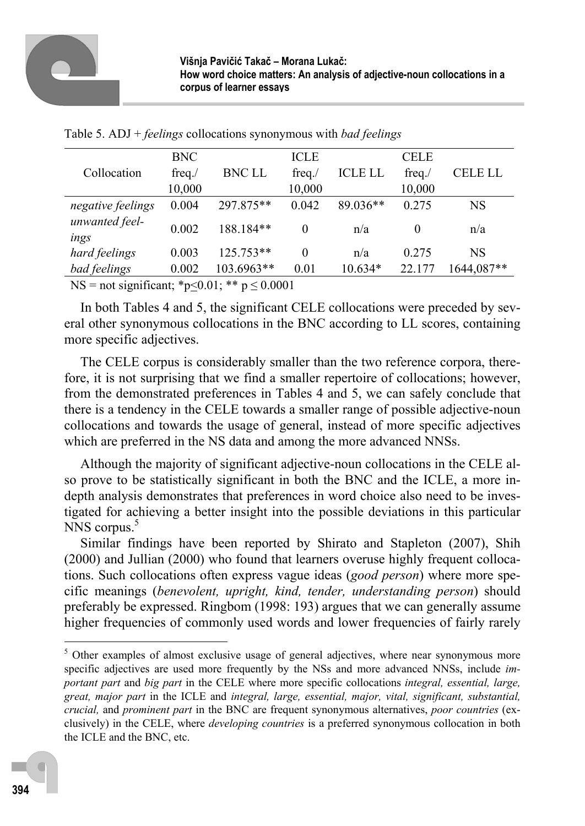

|                                                                                                                                        | <b>BNC</b> |               | <b>ICLE</b> |                | <b>CELE</b> |            |
|----------------------------------------------------------------------------------------------------------------------------------------|------------|---------------|-------------|----------------|-------------|------------|
| Collocation                                                                                                                            | $freq$ ./  | <b>BNC LL</b> | freq.       | <b>ICLE LL</b> | freq.       | CELE LL    |
|                                                                                                                                        | 10,000     |               | 10,000      |                | 10,000      |            |
| negative feelings                                                                                                                      | 0.004      | 297.875**     | 0.042       | 89.036**       | 0.275       | NS         |
| unwanted feel-                                                                                                                         | 0.002      | 188.184**     | $\theta$    | n/a            | $\theta$    | n/a        |
| ings                                                                                                                                   |            |               |             |                |             |            |
| hard feelings                                                                                                                          | 0.003      | 125.753**     | $\theta$    | n/a            | 0.275       | NS         |
| bad feelings                                                                                                                           | 0.002      | 103.6963**    | 0.01        | $10.634*$      | 22.177      | 1644,087** |
| $\lambda_{\rm IC} = \mu_{\rm at} \sim \mu_{\rm out}$ $\mu_{\rm out} \approx \mu_{\rm at} \sim 0.01$ , $\lambda_{\rm B} \approx 0.0001$ |            |               |             |                |             |            |

Table 5. ADJ + *feelings* collocations synonymous with *bad feelings*

NS = not significant; \*p $\leq 0.01$ ; \*\* p  $\leq 0.0001$ 

In both Tables 4 and 5, the significant CELE collocations were preceded by several other synonymous collocations in the BNC according to LL scores, containing more specific adjectives.

The CELE corpus is considerably smaller than the two reference corpora, therefore, it is not surprising that we find a smaller repertoire of collocations; however, from the demonstrated preferences in Tables 4 and 5, we can safely conclude that there is a tendency in the CELE towards a smaller range of possible adjective-noun collocations and towards the usage of general, instead of more specific adjectives which are preferred in the NS data and among the more advanced NNSs.

Although the majority of significant adjective-noun collocations in the CELE also prove to be statistically significant in both the BNC and the ICLE, a more indepth analysis demonstrates that preferences in word choice also need to be investigated for achieving a better insight into the possible deviations in this particular NNS corpus.<sup>5</sup>

Similar findings have been reported by Shirato and Stapleton (2007), Shih (2000) and Jullian (2000) who found that learners overuse highly frequent collocations. Such collocations often express vague ideas (*good person*) where more specific meanings (*benevolent, upright, kind, tender, understanding person*) should preferably be expressed. Ringbom (1998: 193) argues that we can generally assume higher frequencies of commonly used words and lower frequencies of fairly rarely

 $\overline{a}$ 

<sup>&</sup>lt;sup>5</sup> Other examples of almost exclusive usage of general adjectives, where near synonymous more specific adjectives are used more frequently by the NSs and more advanced NNSs, include *important part* and *big part* in the CELE where more specific collocations *integral, essential, large, great, major part* in the ICLE and *integral, large, essential, major, vital, significant, substantial, crucial,* and *prominent part* in the BNC are frequent synonymous alternatives, *poor countries* (exclusively) in the CELE, where *developing countries* is a preferred synonymous collocation in both the ICLE and the BNC, etc.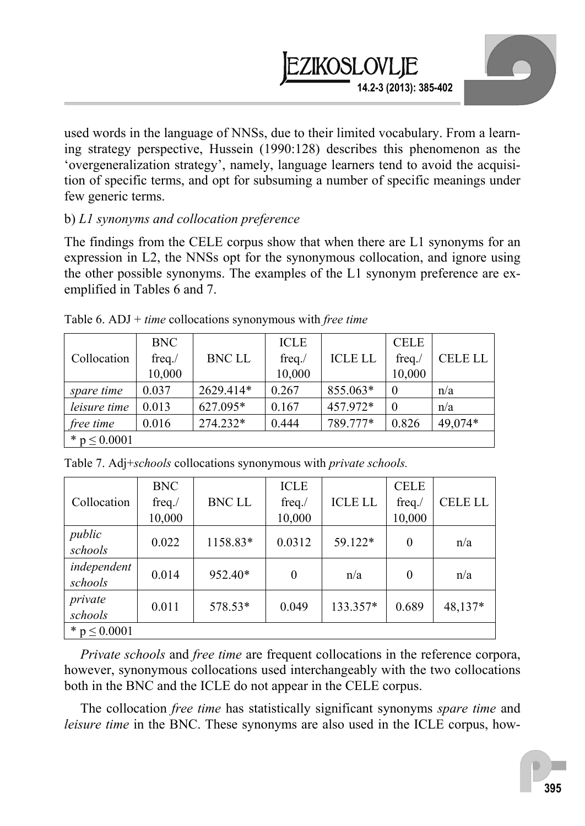

used words in the language of NNSs, due to their limited vocabulary. From a learning strategy perspective, Hussein (1990:128) describes this phenomenon as the 'overgeneralization strategy', namely, language learners tend to avoid the acquisition of specific terms, and opt for subsuming a number of specific meanings under few generic terms.

### b) *L1 synonyms and collocation preference*

The findings from the CELE corpus show that when there are L1 synonyms for an expression in L2, the NNSs opt for the synonymous collocation, and ignore using the other possible synonyms. The examples of the L1 synonym preference are exemplified in Tables 6 and 7.

|                  | <b>BNC</b> |               | <b>ICLE</b> |                | <b>CELE</b> |                |
|------------------|------------|---------------|-------------|----------------|-------------|----------------|
| Collocation      | freq. $/$  | <b>BNC LL</b> | $freq$ ./   | <b>ICLE LL</b> | freq.       | <b>CELE LL</b> |
|                  | 10,000     |               | 10,000      |                | 10,000      |                |
| spare time       | 0.037      | 2629.414*     | 0.267       | 855.063*       |             | n/a            |
| leisure time     | 0.013      | 627.095*      | 0.167       | 457.972*       |             | n/a            |
| free time        | 0.016      | 274.232*      | 0.444       | 789.777*       | 0.826       | 49,074*        |
| * $p \le 0.0001$ |            |               |             |                |             |                |

Table 6. ADJ + *time* collocations synonymous with *free time* 

|                        | <b>BNC</b> |               | <b>ICLE</b> |                | <b>CELE</b> |                |
|------------------------|------------|---------------|-------------|----------------|-------------|----------------|
| Collocation            | freq. $/$  | <b>BNC LL</b> | $freq$ ./   | <b>ICLE LL</b> | freq.       | <b>CELE LL</b> |
|                        | 10,000     |               | 10,000      |                | 10,000      |                |
| public<br>schools      | 0.022      | 1158.83*      | 0.0312      | 59.122*        | $\theta$    | n/a            |
| independent<br>schools | 0.014      | 952.40*       | $\theta$    | n/a            | $\theta$    | n/a            |
| private<br>schools     | 0.011      | 578.53*       | 0.049       | 133.357*       | 0.689       | 48,137*        |
| * $p \le 0.0001$       |            |               |             |                |             |                |

Table 7. Adj+*schools* collocations synonymous with *private schools.*

*Private schools* and *free time* are frequent collocations in the reference corpora, however, synonymous collocations used interchangeably with the two collocations both in the BNC and the ICLE do not appear in the CELE corpus.

The collocation *free time* has statistically significant synonyms *spare time* and *leisure time* in the BNC. These synonyms are also used in the ICLE corpus, how-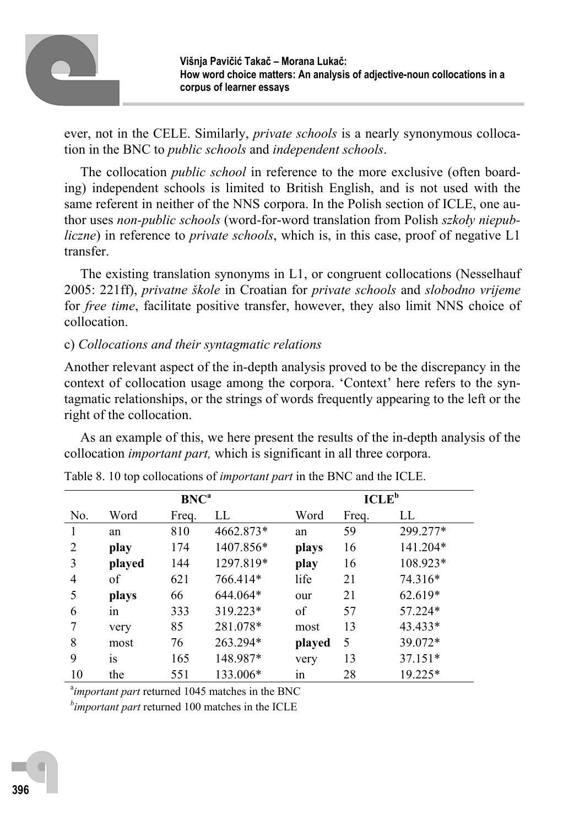

ever, not in the CELE. Similarly, *private schools* is a nearly synonymous collocation in the BNC to *public schools* and *independent schools*.

The collocation *public school* in reference to the more exclusive (often boarding) independent schools is limited to British English, and is not used with the same referent in neither of the NNS corpora. In the Polish section of ICLE, one author uses *non-public schools* (word-for-word translation from Polish *szkoły niepubliczne*) in reference to *private schools*, which is, in this case, proof of negative L1 transfer.

The existing translation synonyms in L1, or congruent collocations (Nesselhauf 2005: 221ff), *privatne škole* in Croatian for *private schools* and *slobodno vrijeme* for *free time*, facilitate positive transfer, however, they also limit NNS choice of collocation.

#### c) *Collocations and their syntagmatic relations*

Another relevant aspect of the in-depth analysis proved to be the discrepancy in the context of collocation usage among the corpora. 'Context' here refers to the syntagmatic relationships, or the strings of words frequently appearing to the left or the right of the collocation.

As an example of this, we here present the results of the in-depth analysis of the collocation *important part,* which is significant in all three corpora.

| <b>BNC</b> <sup>a</sup> |        |       |           |        | ICLE <sup>b</sup> |          |
|-------------------------|--------|-------|-----------|--------|-------------------|----------|
| No.                     | Word   | Freq. | LL        | Word   | Freq.             | LL       |
|                         | an     | 810   | 4662.873* | an     | 59                | 299.277* |
| 2                       | play   | 174   | 1407.856* | plays  | 16                | 141.204* |
| 3                       | played | 144   | 1297.819* | play   | 16                | 108.923* |
| 4                       | οf     | 621   | 766.414*  | life   | 21                | 74.316*  |
| 5                       | plays  | 66    | 644.064*  | our    | 21                | 62.619*  |
| 6                       | 1n     | 333   | 319.223*  | of     | 57                | 57.224*  |
| 7                       | very   | 85    | 281.078*  | most   | 13                | 43.433*  |
| 8                       | most   | 76    | 263.294*  | played | 5                 | 39.072*  |
| 9                       | 1S     | 165   | 148.987*  | very   | 13                | 37.151*  |
| 10                      | the    | 551   | 133.006*  | 1n     | 28                | 19.225*  |

Table 8. 10 top collocations of *important part* in the BNC and the ICLE.

<sup>a</sup>important part returned 1045 matches in the BNC *b important part* returned 100 matches in the ICLE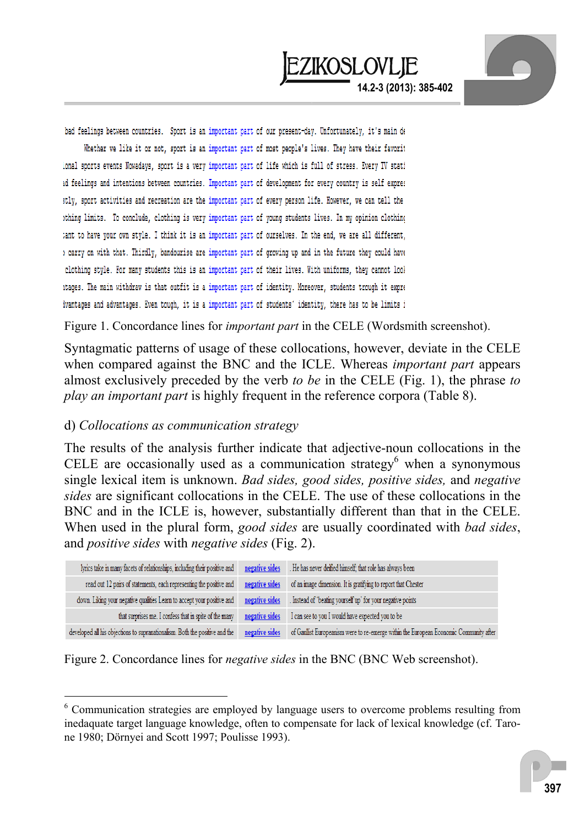bad feelings between countries. Sport is an important part of our present-day. Unfortunately, it's main de Whether we like it or not, sport is an important part of most people's lives. They have their favorit ional sports events Nowadays, sport is a very important part of life which is full of stress. Every TV stati id feelings and intentions between countries. Important part of development for every country is self expres stly, sport activities and recreation are the important part of every person life. However, we can tell the ithing limits. To conclude, clothing is very important part of young students lives. In my opinion clothing tant to have your own style. I think it is an important part of ourselves. In the end, we are all different, ) carry on with that. Thirdly, bandourise are important part of growing up and in the future they could have clothing style. For many students this is an important part of their lives. With uniforms, they cannot look itages. The main withdraw is that outfit is a important part of identity. Moreover, students trough it expre ivantages and advantages. Even tough, it is a important part of students' identity, there has to be limits i

Figure 1. Concordance lines for *important part* in the CELE (Wordsmith screenshot).

Syntagmatic patterns of usage of these collocations, however, deviate in the CELE when compared against the BNC and the ICLE. Whereas *important part* appears almost exclusively preceded by the verb *to be* in the CELE (Fig. 1), the phrase *to play an important part* is highly frequent in the reference corpora (Table 8).

#### d) *Collocations as communication strategy*

 $\overline{a}$ 

The results of the analysis further indicate that adjective-noun collocations in the CELE are occasionally used as a communication strategy $<sup>6</sup>$  when a synonymous</sup> single lexical item is unknown. *Bad sides, good sides, positive sides,* and *negative sides* are significant collocations in the CELE. The use of these collocations in the BNC and in the ICLE is, however, substantially different than that in the CELE. When used in the plural form, *good sides* are usually coordinated with *bad sides*, and *positive sides* with *negative sides* (Fig. 2).



Figure 2. Concordance lines for *negative sides* in the BNC (BNC Web screenshot).

<sup>&</sup>lt;sup>6</sup> Communication strategies are employed by language users to overcome problems resulting from inedaquate target language knowledge, often to compensate for lack of lexical knowledge (cf. Tarone 1980; Dörnyei and Scott 1997; Poulisse 1993).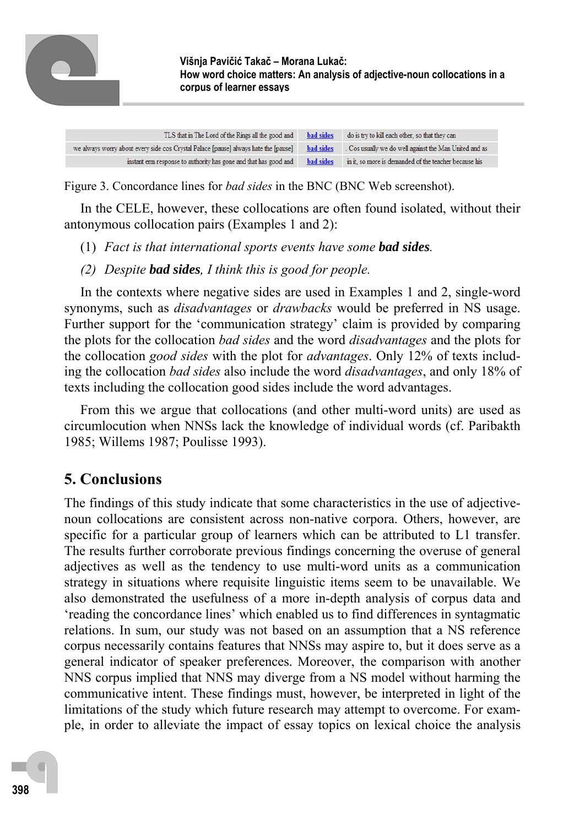

| TLS that in The Lord of the Rings all the good and                                  | <b>bad</b> sides | do is try to kill each other, so that they can         |
|-------------------------------------------------------------------------------------|------------------|--------------------------------------------------------|
| we always worry about every side cos Crystal Palace [pause] always hate the [pause] | <b>bad sides</b> | . Cos usually we do well against the Man United and as |
| instant erm response to authority has gone and that has good and                    | <b>bad sides</b> | in it, so more is demanded of the teacher because his  |

Figure 3. Concordance lines for *bad sides* in the BNC (BNC Web screenshot).

In the CELE, however, these collocations are often found isolated, without their antonymous collocation pairs (Examples 1 and 2):

- (1) *Fact is that international sports events have some bad sides.*
- *(2) Despite bad sides, I think this is good for people.*

In the contexts where negative sides are used in Examples 1 and 2, single-word synonyms, such as *disadvantages* or *drawbacks* would be preferred in NS usage. Further support for the 'communication strategy' claim is provided by comparing the plots for the collocation *bad sides* and the word *disadvantages* and the plots for the collocation *good sides* with the plot for *advantages*. Only 12% of texts including the collocation *bad sides* also include the word *disadvantages*, and only 18% of texts including the collocation good sides include the word advantages.

From this we argue that collocations (and other multi-word units) are used as circumlocution when NNSs lack the knowledge of individual words (cf. Paribakth 1985; Willems 1987; Poulisse 1993).

# **5. Conclusions**

The findings of this study indicate that some characteristics in the use of adjectivenoun collocations are consistent across non-native corpora. Others, however, are specific for a particular group of learners which can be attributed to L1 transfer. The results further corroborate previous findings concerning the overuse of general adjectives as well as the tendency to use multi-word units as a communication strategy in situations where requisite linguistic items seem to be unavailable. We also demonstrated the usefulness of a more in-depth analysis of corpus data and 'reading the concordance lines' which enabled us to find differences in syntagmatic relations. In sum, our study was not based on an assumption that a NS reference corpus necessarily contains features that NNSs may aspire to, but it does serve as a general indicator of speaker preferences. Moreover, the comparison with another NNS corpus implied that NNS may diverge from a NS model without harming the communicative intent. These findings must, however, be interpreted in light of the limitations of the study which future research may attempt to overcome. For example, in order to alleviate the impact of essay topics on lexical choice the analysis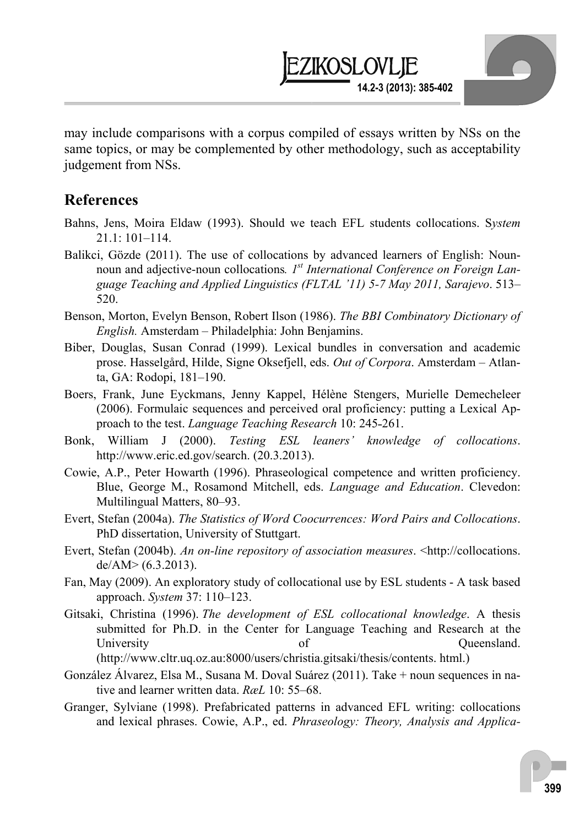may include comparisons with a corpus compiled of essays written by NSs on the same topics, or may be complemented by other methodology, such as acceptability judgement from NSs.

**14.2-3 (2013): 385-402** 

EZIKOSLOVLIE

### **References**

- Bahns, Jens, Moira Eldaw (1993). Should we teach EFL students collocations. S*ystem*  21.1: 101–114.
- Balikci, Gözde (2011). The use of collocations by advanced learners of English: Nounnoun and adjective-noun collocations*. 1st International Conference on Foreign Language Teaching and Applied Linguistics (FLTAL '11) 5-7 May 2011, Sarajevo*. 513– 520.
- Benson, Morton, Evelyn Benson, Robert Ilson (1986). *The BBI Combinatory Dictionary of English.* Amsterdam – Philadelphia: John Benjamins.
- Biber, Douglas, Susan Conrad (1999). Lexical bundles in conversation and academic prose. Hasselgård, Hilde, Signe Oksefjell, eds. *Out of Corpora*. Amsterdam – Atlanta, GA: Rodopi, 181–190.
- Boers, Frank, June Eyckmans, Jenny Kappel, Hélène Stengers, Murielle Demecheleer (2006). Formulaic sequences and perceived oral proficiency: putting a Lexical Approach to the test. *Language Teaching Research* 10: 245-261.
- Bonk, William J (2000). *Testing ESL leaners' knowledge of collocations*. http://www.eric.ed.gov/search. (20.3.2013).
- Cowie, A.P., Peter Howarth (1996). Phraseological competence and written proficiency. Blue, George M., Rosamond Mitchell, eds. *Language and Education*. Clevedon: Multilingual Matters, 80–93.
- Evert, Stefan (2004a). *The Statistics of Word Coocurrences: Word Pairs and Collocations*. PhD dissertation, University of Stuttgart.
- Evert, Stefan (2004b). *An on-line repository of association measures*. <http://collocations.  $de/AM$  >  $(6.3.2013)$ .
- Fan, May (2009). An exploratory study of collocational use by ESL students A task based approach. *System* 37: 110–123.
- Gitsaki, Christina (1996). *The development of ESL collocational knowledge*. A thesis submitted for Ph.D. in the Center for Language Teaching and Research at the University of Queensland. (http://www.cltr.uq.oz.au:8000/users/christia.gitsaki/thesis/contents. html.)
- González Álvarez, Elsa M., Susana M. Doval Suárez (2011). Take + noun sequences in native and learner written data. *RæL* 10: 55–68.
- Granger, Sylviane (1998). Prefabricated patterns in advanced EFL writing: collocations and lexical phrases. Cowie, A.P., ed. *Phraseology: Theory, Analysis and Applica-*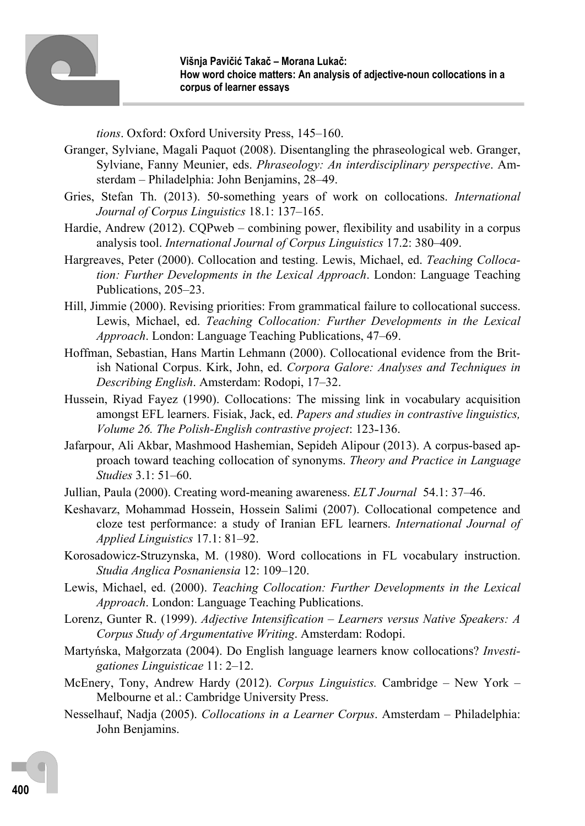

*tions*. Oxford: Oxford University Press, 145–160.

- Granger, Sylviane, Magali Paquot (2008). Disentangling the phraseological web. Granger, Sylviane, Fanny Meunier, eds. *Phraseology: An interdisciplinary perspective*. Amsterdam – Philadelphia: John Benjamins, 28–49.
- Gries, Stefan Th. (2013). 50-something years of work on collocations. *International Journal of Corpus Linguistics* 18.1: 137–165.
- Hardie, Andrew (2012). CQPweb combining power, flexibility and usability in a corpus analysis tool. *International Journal of Corpus Linguistics* 17.2: 380–409.
- Hargreaves, Peter (2000). Collocation and testing. Lewis, Michael, ed. *Teaching Collocation: Further Developments in the Lexical Approach*. London: Language Teaching Publications, 205–23.
- Hill, Jimmie (2000). Revising priorities: From grammatical failure to collocational success. Lewis, Michael, ed. *Teaching Collocation: Further Developments in the Lexical Approach*. London: Language Teaching Publications, 47–69.
- Hoffman, Sebastian, Hans Martin Lehmann (2000). Collocational evidence from the British National Corpus. Kirk, John, ed. *Corpora Galore: Analyses and Techniques in Describing English*. Amsterdam: Rodopi, 17–32.
- Hussein, Riyad Fayez (1990). Collocations: The missing link in vocabulary acquisition amongst EFL learners. Fisiak, Jack, ed. *Papers and studies in contrastive linguistics, Volume 26. The Polish-English contrastive project:* 123-136.
- Jafarpour, Ali Akbar, Mashmood Hashemian, Sepideh Alipour (2013). A corpus-based approach toward teaching collocation of synonyms. *Theory and Practice in Language Studies* 3.1: 51–60.
- Jullian, Paula (2000). Creating word-meaning awareness. *ELT Journal* 54.1: 37–46.
- Keshavarz, Mohammad Hossein, Hossein Salimi (2007). Collocational competence and cloze test performance: a study of Iranian EFL learners. *International Journal of Applied Linguistics* 17.1: 81–92.
- Korosadowicz-Struzynska, M. (1980). Word collocations in FL vocabulary instruction. *Studia Anglica Posnaniensia* 12: 109–120.
- Lewis, Michael, ed. (2000). *Teaching Collocation: Further Developments in the Lexical Approach*. London: Language Teaching Publications.
- Lorenz, Gunter R. (1999). *Adjective Intensification* – *Learners versus Native Speakers: A Corpus Study of Argumentative Writing*. Amsterdam: Rodopi.
- Martyńska, Małgorzata (2004). Do English language learners know collocations? *Investigationes Linguisticae* 11: 2–12.
- McEnery, Tony, Andrew Hardy (2012). *Corpus Linguistics.* Cambridge New York Melbourne et al.: Cambridge University Press.
- Nesselhauf, Nadja (2005). *Collocations in a Learner Corpus*. Amsterdam Philadelphia: John Benjamins.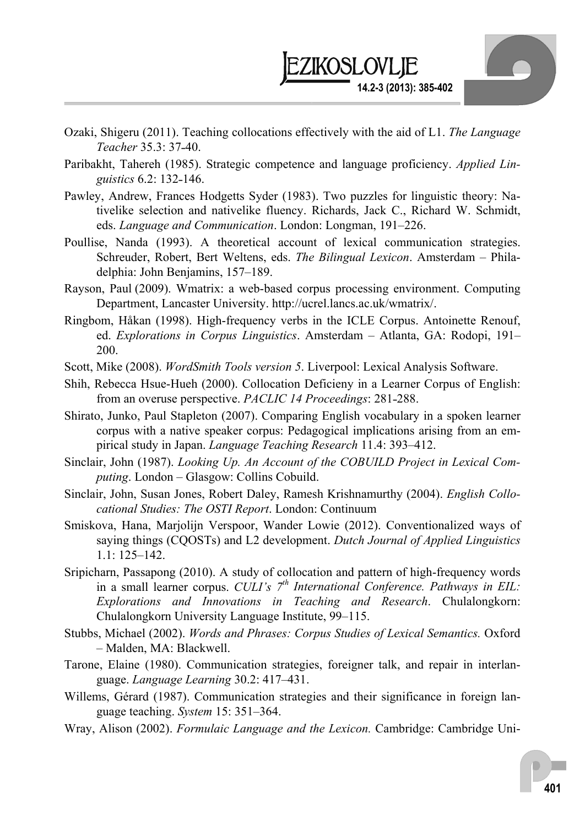

- Ozaki, Shigeru (2011). Teaching collocations effectively with the aid of L1. *The Language Teacher* 35.3: 37˗40.
- Paribakht, Tahereh (1985). Strategic competence and language proficiency. *Applied Linguistics* 6.2: 132-146.
- Pawley, Andrew, Frances Hodgetts Syder (1983). Two puzzles for linguistic theory: Nativelike selection and nativelike fluency. Richards, Jack C., Richard W. Schmidt, eds. *Language and Communication*. London: Longman, 191–226.
- Poullise, Nanda (1993). A theoretical account of lexical communication strategies. Schreuder, Robert, Bert Weltens, eds. *The Bilingual Lexicon*. Amsterdam – Philadelphia: John Benjamins, 157–189.
- Rayson, Paul (2009). Wmatrix: a web-based corpus processing environment. Computing Department, Lancaster University. http://ucrel.lancs.ac.uk/wmatrix/.
- Ringbom, Håkan (1998). High-frequency verbs in the ICLE Corpus. Antoinette Renouf, ed. *Explorations in Corpus Linguistics*. Amsterdam – Atlanta, GA: Rodopi, 191– 200.
- Scott, Mike (2008). *WordSmith Tools version 5*. Liverpool: Lexical Analysis Software.
- Shih, Rebecca Hsue-Hueh (2000). Collocation Deficieny in a Learner Corpus of English: from an overuse perspective. *PACLIC 14 Proceedings*: 281-288.
- Shirato, Junko, Paul Stapleton (2007). Comparing English vocabulary in a spoken learner corpus with a native speaker corpus: Pedagogical implications arising from an empirical study in Japan. *Language Teaching Research* 11.4: 393–412.
- Sinclair, John (1987). *Looking Up. An Account of the COBUILD Project in Lexical Computing*. London – Glasgow: Collins Cobuild.
- Sinclair, John, Susan Jones, Robert Daley, Ramesh Krishnamurthy (2004). *English Collocational Studies: The OSTI Report*. London: Continuum
- Smiskova, Hana, Marjolijn Verspoor, Wander Lowie (2012). Conventionalized ways of saying things (CQOSTs) and L2 development. *Dutch Journal of Applied Linguistics* 1.1: 125–142.
- Sripicharn, Passapong (2010). A study of collocation and pattern of high-frequency words in a small learner corpus. *CULI's 7th International Conference. Pathways in EIL: Explorations and Innovations in Teaching and Research*. Chulalongkorn: Chulalongkorn University Language Institute, 99–115.
- Stubbs, Michael (2002). *Words and Phrases: Corpus Studies of Lexical Semantics.* Oxford – Malden, MA: Blackwell.
- Tarone, Elaine (1980). Communication strategies, foreigner talk, and repair in interlanguage. *Language Learning* 30.2: 417–431.
- Willems, Gérard (1987). Communication strategies and their significance in foreign language teaching. *System* 15: 351–364.
- Wray, Alison (2002). *Formulaic Language and the Lexicon.* Cambridge: Cambridge Uni-